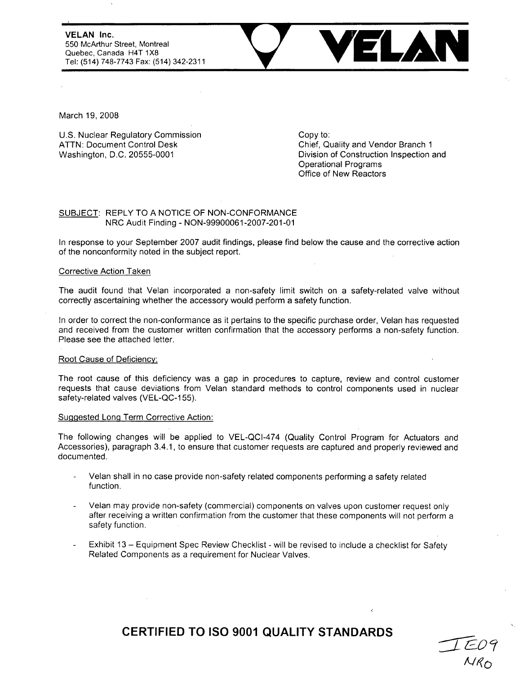**VELAN Inc. 550** McArthur Street, Montreal



March 19, 2008

U.S. Nuclear Regulatory Commission ATTN: Document Control Desk Washington, D.C. 20555-0001

Copy to: Chief, Quality and Vendor Branch 1 Division of Construction Inspection and Operational Programs Office of New Reactors

# SUBJECT: REPLY TO A NOTICE OF NON-CONFORMANCE NRC Audit Finding - NON-99900061-2007-201-01

In response to your September 2007 audit findings, please find below the cause and the corrective action of the nonconformity noted in the subject report.

# Corrective Action Taken

The audit found that Velan incorporated a non-safety limit switch on a safety-related valve without correctly ascertaining whether the accessory would perform a safety function.

In order to correct the non-conformance as it pertains to the specific purchase order, Velan has requested and received from the customer written confirmation that the accessory performs a non-safety function. Please see the attached letter.

# Root Cause of Deficiency:

The root cause of this deficiency was a gap in procedures to capture, review and control customer requests that cause deviations from Velan standard methods to control components used in nuclear safety-related valves (VEL-QC-155).

# Suqqested Lonq Term Corrective Action:

The following changes will be applied to VEL-QCI-474 (Quality Control Program for Actuators and Accessories), paragraph 3.4.1, to ensure that customer requests are captured and properly reviewed and documented.

- **-** Velan shall in no case provide non-safety related components performing a safety related function.
- Velan may provide non-safety (commercial) components on valves upon customer request only after receiving a written confirmation from the customer that these components will not perform a safety function.
- **-** Exhibit 13 Equipment Spec Review Checklist will be revised to include a checklist for Safety Related Components as a requirement for Nuclear Valves.

# CERTIFIED TO **ISO 9001 QUALITY STANDARDS**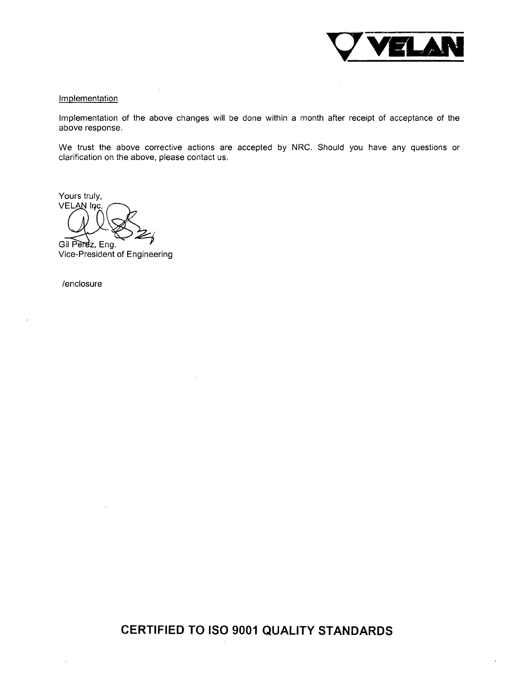

# Implementation

Implementation of the above changes will be done within a month after receipt of acceptance of the above response.

We trust the above corrective actions are accepted by NRC. Should you have any questions or clarification on the above, please contact us.

Yours truly, VELAN Inc.  $\backslash$ 

Gil Perez, Eng. Vice-President of Engineering

/enclosure

# CERTIFIED TO **ISO 9001 QUALITY STANDARDS**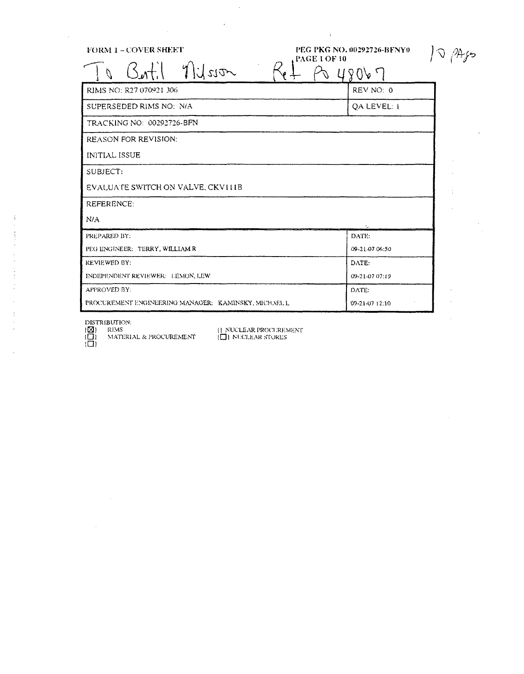| <b>FORM 1-COVER SHEET</b>                            | PEG PKG NO. 00292726-BENY0<br><b>PAGE 1 OF 10</b> |  |
|------------------------------------------------------|---------------------------------------------------|--|
| $B$ ntil<br>$\frac{9}{4}$ is $\frac{1}{4}$           | 067                                               |  |
| RIMS NO: R27 070921 306                              | REV NO: 0                                         |  |
| SUPERSEDED RIMS NO: N/A                              | QA LEVEL: I                                       |  |
| TRACKING NO: 00292726-BFN                            |                                                   |  |
| <b>REASON FOR REVISION:</b>                          |                                                   |  |
| <b>INITIAL ISSUE</b>                                 |                                                   |  |
| SUBJECT:                                             |                                                   |  |
| EVALUATE SWITCH ON VALVE, CKV111B                    |                                                   |  |
| <b>REFERENCE:</b>                                    |                                                   |  |
| N/A                                                  |                                                   |  |
| PREPARED BY:                                         | DATE:                                             |  |
| PEG ENGINEER: TERRY, WILLIAM R                       | 09-21-07 06:50                                    |  |
| <b>REVIEWED BY:</b>                                  | DATE:                                             |  |
| INDEPENDENT REVIEWER: LEMON, LEW                     | 09-21-07 07:19                                    |  |
| APPROVED BY:                                         | DATE:                                             |  |
| PROCUREMENT ENGINEERING MANAGER: KAMINSKY, MICHAEL L | 09-21-07 12:10                                    |  |

 $\frac{1}{2}$ 

 $\chi$ 

 $\bar{z}$ 

 $\bar{z}$  $\sim$ 

 $\sim$   $\alpha$ 

 $\mathcal{L}^{\mathcal{L}}$ 

DISTRIBUTION:<br>|⊠||||RIMS<br>|□|||||MATERIAL & PROCUREMENT<br>!□|

 $\left(\left[\begin{array}{c} \right] \end{array}\right)$  NUCLEAR PROCUREMENT  $\left[\begin{array}{c} \prod \end{array}\right]$  NUCLEAR STORES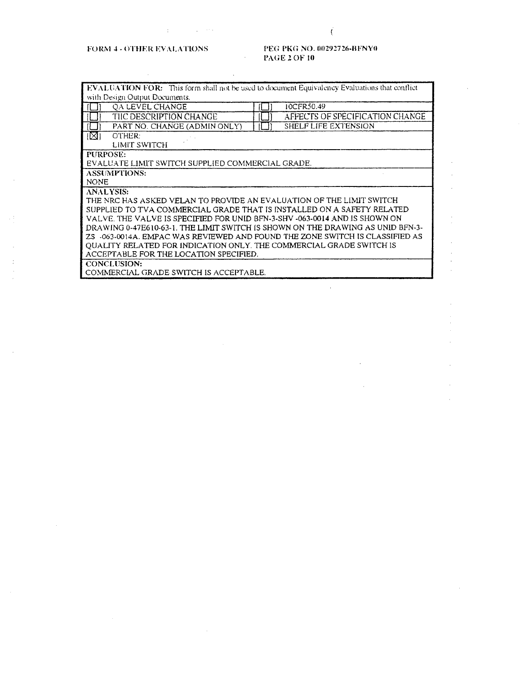# FORM 4 - OTHER EVALATIONS

 $\sim 10^{11}$ 

 $\mathbf{q}$  , and  $\mathbf{q}$  , and  $\mathbf{q}$ 

# PEG PKG NO. 00292726-BFNY0 **PAGE 2 OF 10**

| EVALUATION FOR: This form shall not be used to document Equivalency Evaluations that conflict |                                                                                |
|-----------------------------------------------------------------------------------------------|--------------------------------------------------------------------------------|
| with Design Output Documents.                                                                 |                                                                                |
| OA LEVEL CHANGE                                                                               | 10CFR50.49                                                                     |
| THE DESCRIPTION CHANGE                                                                        | AFFECTS OF SPECIFICATION CHANGE                                                |
| PART NO. CHANGE (ADMIN ONLY)                                                                  | SHELF LIFE EXTENSION                                                           |
| OTHER:<br>IM.                                                                                 |                                                                                |
| LIMIT SWITCH                                                                                  |                                                                                |
| PURPOSE:                                                                                      |                                                                                |
| EVALUATE LIMIT SWITCH SUPPLIED COMMERCIAL GRADE.                                              |                                                                                |
| <b>ASSUMPTIONS:</b>                                                                           |                                                                                |
| <b>NONE</b>                                                                                   |                                                                                |
| ANALYSIS:                                                                                     |                                                                                |
| THE NRC HAS ASKED VELAN TO PROVIDE AN EVALUATION OF THE LIMIT SWITCH                          |                                                                                |
| SUPPLIED TO TVA COMMERCIAL GRADE THAT IS INSTALLED ON A SAFETY RELATED                        |                                                                                |
| VALVE, THE VALVE IS SPECIFIED FOR UNID BFN-3-SHV-063-0014 AND IS SHOWN ON                     |                                                                                |
|                                                                                               | DRAWING 0-47E610-63-1. THE LIMIT SWITCH IS SHOWN ON THE DRAWING AS UNID BFN-3- |
| ZS -063-0014A. EMPAC WAS REVIEWED AND FOUND THE ZONE SWITCH IS CLASSIFIED AS                  |                                                                                |
| QUALITY RELATED FOR INDICATION ONLY. THE COMMERCIAL GRADE SWITCH IS                           |                                                                                |
| ACCEPTABLE FOR THE LOCATION SPECIFIED.                                                        |                                                                                |
| CONCLUSION:                                                                                   |                                                                                |
| COMMERCIAL GRADE SWITCH IS ACCEPTABLE.                                                        |                                                                                |

 $\mathcal{L}_{\text{max}}$ 

 $\sim 10$ 

 $\epsilon$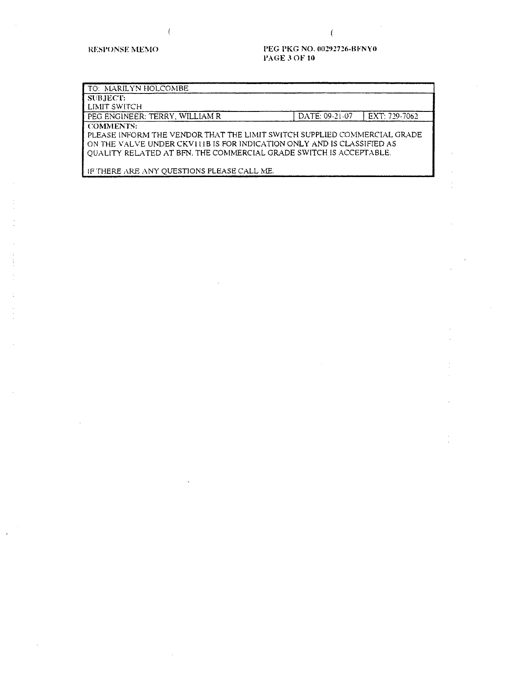# RESPONSE MEMO<br>
PEG PKG NO. 00292726-BFNYO **I'AGE 3** OF **10**

l

TO: MARILYN HOLCOMBE

SUBJECT:

LIMIT SWITCH

 $\mathfrak{f}% _{0}$ 

PEG ENGINEER: TERRY, WILLIAM R<br> $\boxed{DATE: 09-21-07}$  **EXT: 729-7062** 

COMMIENTS:

PLEASE INFORM THE VENDOR THAT THE LIMIT SWITCH SUPPLIED COMMERCIAL GRADE ON THE VALVE UNDER CKV1 **II** B IS FOR INDICATION ONLY AND IS CLASSIFIED AS QUALITY RELATED AT BFN. THE COMMIERCIAL GRADE SWITCH IS ACCEPTABLE.

IF THERE ARE ANY QUESTIONS PLEASE CALL **ME.**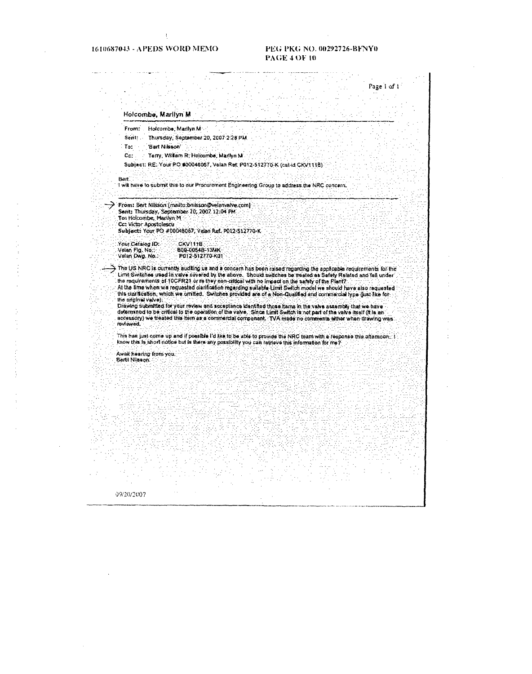$\sim$ 

 $\sim$ 

 $\sim 3\%$ 

# 1610687043 - APEDS WORD MEMO<br>
PEG PKG NO. 00292726-BFNY0<br>
PAGE 4 OF 10

 $\mathbb{R}^2$ 

 $\bar{z}$ 

 $\ddot{\cdot}$ 

 $\hat{\boldsymbol{\theta}}$ 

 $\bar{A}$ 

| Paze i of i                                                                                                                                                                                                                                                                                                                                                                                                                                                                                                                                                                                       |
|---------------------------------------------------------------------------------------------------------------------------------------------------------------------------------------------------------------------------------------------------------------------------------------------------------------------------------------------------------------------------------------------------------------------------------------------------------------------------------------------------------------------------------------------------------------------------------------------------|
|                                                                                                                                                                                                                                                                                                                                                                                                                                                                                                                                                                                                   |
|                                                                                                                                                                                                                                                                                                                                                                                                                                                                                                                                                                                                   |
| Holcombe, Marilyn M                                                                                                                                                                                                                                                                                                                                                                                                                                                                                                                                                                               |
|                                                                                                                                                                                                                                                                                                                                                                                                                                                                                                                                                                                                   |
| From:<br>Holcombe, Marilyn M.                                                                                                                                                                                                                                                                                                                                                                                                                                                                                                                                                                     |
| Sent:<br>Thursday, Saptember 20, 2007 2:28 PM                                                                                                                                                                                                                                                                                                                                                                                                                                                                                                                                                     |
| To:<br>Bart Nilsson'                                                                                                                                                                                                                                                                                                                                                                                                                                                                                                                                                                              |
| Cc: .<br>Terry, William R: Holcombe, Marllyn Mi                                                                                                                                                                                                                                                                                                                                                                                                                                                                                                                                                   |
| Subject: RE: Your PO #00048067, Velan Ref. P012-512770-K (cat-id CKV1118).                                                                                                                                                                                                                                                                                                                                                                                                                                                                                                                        |
| Ben.                                                                                                                                                                                                                                                                                                                                                                                                                                                                                                                                                                                              |
| will have to submit this to our Procurement Engineering Group to address the NRC concern.                                                                                                                                                                                                                                                                                                                                                                                                                                                                                                         |
|                                                                                                                                                                                                                                                                                                                                                                                                                                                                                                                                                                                                   |
| $\rightarrow$ From: Bert Nilsson (mailto:bnilsson@velanvalve.com)                                                                                                                                                                                                                                                                                                                                                                                                                                                                                                                                 |
| Sent: Thursday, September 20, 2007 12:04 PM                                                                                                                                                                                                                                                                                                                                                                                                                                                                                                                                                       |
| To: Holcombe, Marilyn M                                                                                                                                                                                                                                                                                                                                                                                                                                                                                                                                                                           |
| Cc: Victor Apostolescu<br>Subject: Your PO #00048067, Velan Ref. P012-512770-K                                                                                                                                                                                                                                                                                                                                                                                                                                                                                                                    |
|                                                                                                                                                                                                                                                                                                                                                                                                                                                                                                                                                                                                   |
| Your Catalog ID:<br>CKV111B                                                                                                                                                                                                                                                                                                                                                                                                                                                                                                                                                                       |
| B09-0054B-13MK<br>Velan Fig. No.:<br>Velan Dwg. No.:<br>P012-512770-K01                                                                                                                                                                                                                                                                                                                                                                                                                                                                                                                           |
|                                                                                                                                                                                                                                                                                                                                                                                                                                                                                                                                                                                                   |
| The US NRC is currently sudling us and a concern has been raised regarding the applicable requirements for the<br>Limit Switches used in valve covered by the above. Should switches be meated as Safety Related and fall under<br>the requirements of 10CFR21 or re they non-cittical with no impact on the safety of the Plant?<br>At the time when we requested danfication regarding suitable. Limit Switch model we should have also requested<br>this clarification, which we onlitted. Switches provided are of a Non-Qualified and commercial type (just like for<br>the original valve): |
| Drawing submitted for your review and acceptance identified those items in the valve assembly that we have<br>determined to be critical to the operation of the valve. Since Limit Switch is not part of the valve itself (if is an<br>accessory) we treated this hem as a commercial component. TVA made no comments ather when drawing was                                                                                                                                                                                                                                                      |
| reviewed,<br>This has just come up and if possible I'd like to be uble to provide the NRC team with a response this alternoon. I<br>know this is short notice but is there any possibility you can retrieve this information for me?                                                                                                                                                                                                                                                                                                                                                              |
|                                                                                                                                                                                                                                                                                                                                                                                                                                                                                                                                                                                                   |
| Await hearing from you.<br>Bertil Nilsson.                                                                                                                                                                                                                                                                                                                                                                                                                                                                                                                                                        |
|                                                                                                                                                                                                                                                                                                                                                                                                                                                                                                                                                                                                   |
|                                                                                                                                                                                                                                                                                                                                                                                                                                                                                                                                                                                                   |
|                                                                                                                                                                                                                                                                                                                                                                                                                                                                                                                                                                                                   |
|                                                                                                                                                                                                                                                                                                                                                                                                                                                                                                                                                                                                   |
|                                                                                                                                                                                                                                                                                                                                                                                                                                                                                                                                                                                                   |
|                                                                                                                                                                                                                                                                                                                                                                                                                                                                                                                                                                                                   |
|                                                                                                                                                                                                                                                                                                                                                                                                                                                                                                                                                                                                   |
|                                                                                                                                                                                                                                                                                                                                                                                                                                                                                                                                                                                                   |
|                                                                                                                                                                                                                                                                                                                                                                                                                                                                                                                                                                                                   |
|                                                                                                                                                                                                                                                                                                                                                                                                                                                                                                                                                                                                   |
|                                                                                                                                                                                                                                                                                                                                                                                                                                                                                                                                                                                                   |
|                                                                                                                                                                                                                                                                                                                                                                                                                                                                                                                                                                                                   |
|                                                                                                                                                                                                                                                                                                                                                                                                                                                                                                                                                                                                   |
|                                                                                                                                                                                                                                                                                                                                                                                                                                                                                                                                                                                                   |
|                                                                                                                                                                                                                                                                                                                                                                                                                                                                                                                                                                                                   |
| 09/20/2007                                                                                                                                                                                                                                                                                                                                                                                                                                                                                                                                                                                        |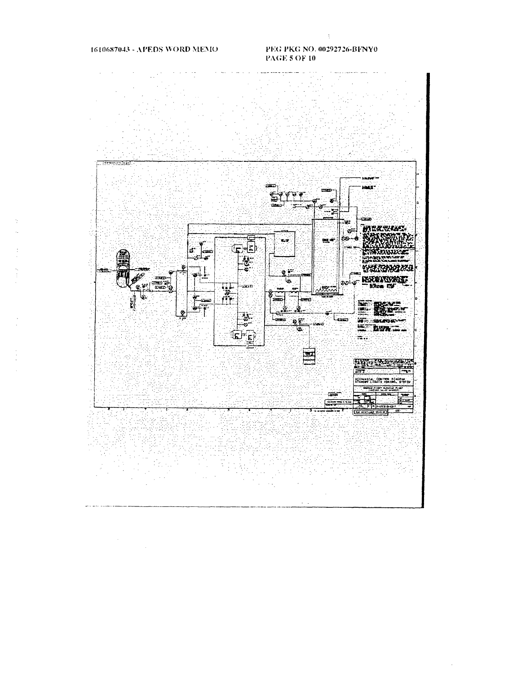# 1610687043 - APEDS WORD MEMO<br>
PEG PKG NO. 00292726-BFNY0

# **PAGE 5 OF 10**

 $\mathbb{C}$ 

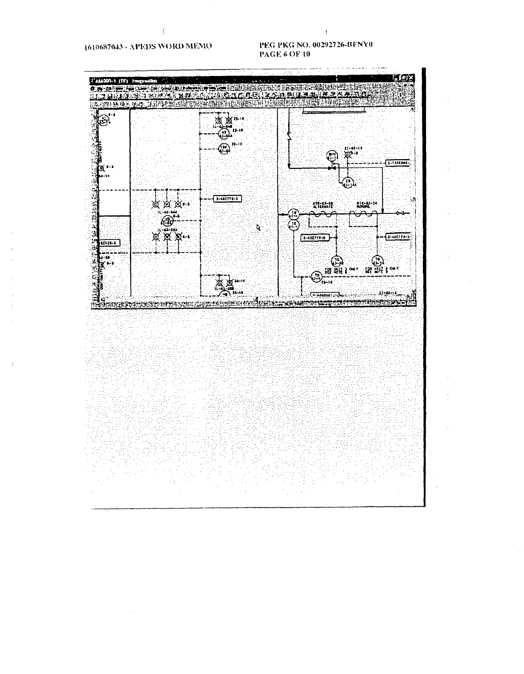# 1610687043 - APEDS WORD MEMO

Í

PEG PKG NO. 00292726-BFNY0 **PAGE 6 OF 10** 

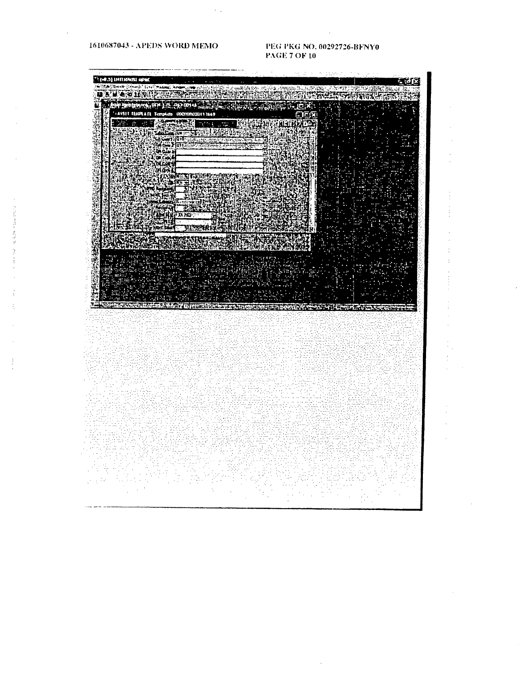# 1610687043 - APEDS WORD MEMO

# PEG PKG NO. 00292726-BFNY0 **PAGE 7 OF 10**

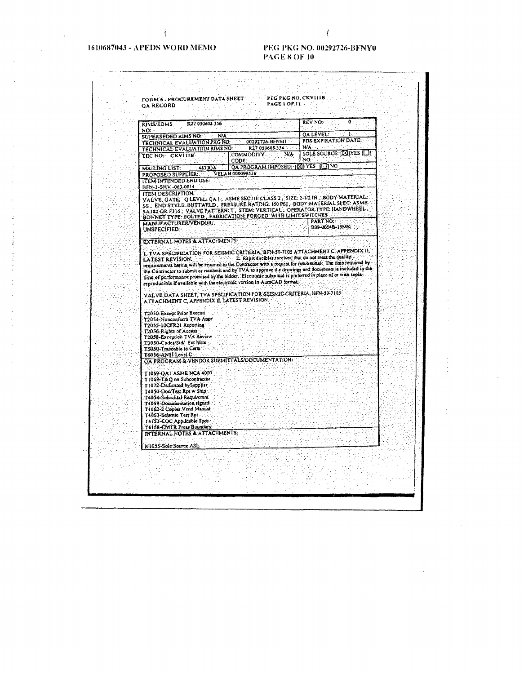# PEG PKG NO. 00292726-BFNY0 **PAGE 8 OF 10**

 $\frak{f}$ 

| NO:<br>OA LEVEL:<br>in Tib<br>SUPERSEDED KIMS NO.<br><b>N/A</b><br><b>PDS EXPIRATION DATE:</b><br>00292726-BFNM1<br>TECHNICAL EVALUATION PKG NO:<br>N/A<br>TECHNICAL EVALUATION RIMS NO: R27.050608.354<br>SOLE SOURCE: [E] YES [D]<br>COMMODITY.<br>N/A<br>TRC NO: CKV111B<br>'NО.<br>CODE:<br>QA PROGRAM IMPOSED: [X] YES [T] NO<br>4830OA<br><b>MAILING LIST:</b><br><b>VELAN 000099536</b><br>PROPOSED SUPPLIER:<br>ITEM INTENDED END USE!<br>BEN-3-SHV -063-0014<br><b>ITEM DESCRIPTION</b><br>VALVE, GATE, QUEVEL QA I, ASME SECTIF CLASS 2, SIZE: 2-1/2 IN  BODY MATERIAL:<br>SS. END STYLE. BUTTWELD, PRESSURE RATING: 150 PSI, BODY MATERIAL SPEC: ASMP<br>SAJ82 GR F316 , VALVE PATTERN: T., STEM: VERTICAL, OPERATOR TYPE: HANDWHEEL,<br>BONNET TYPE: BOLTED, FABRICATION: FORGED WITH LIMIT SWITCHES<br>PART NO:<br>MANUFACTURER/VENDUR:<br>B09-0054B-13MK<br>UNSPECIFIED:<br>EXTERNAL NOTES & ATTACHMENTS<br>I. TVA SPECIFICATION FOR SEISMIC CRITERIA, BEN-50-7105 ATTACHMENT C. APPENDIX II.<br>2. Reproducibles received that do not meet the quality.<br>LATEST REVISION.<br>requirements herein will be returned to the Contractor with a request for resubmittal. The fime required by<br>the Contractor to submit or resubmit and by TVA to approve the drawings and documents is included in the<br>time of performance promised by the bidder. Electronic submittal is preferred in place of or with septa-<br>reproducible if available with the electronic version in AutoCAD format:<br>VALVE DATA SHEET, TVA SPECIFICATION FOR SEISMIC CRITERIA, HEN-30-7105<br>ATTACHMENT C, APPENDIX II, LATEST REVISION.<br>T2050-Except Prior Executi<br>T2054-Nonconform TVA Appr<br>T2055-10CFR21 Reporting<br>T2056-Rights of Access<br>T2058-Exception TVA Review<br>T3050-Codes/Std/ Ext Note<br>T5050-Traccable to Certs<br>T6056-ANSI Lavel C<br>QA PROGRAM & VENDOR SUBMITTALS/DOCUMENTATION:<br>T1059-OA1 ASME NCA 4000<br>T1069-T&O on Subcontractor<br>T1072-Dedicated by Supplier.<br>T4050-Doc/Test Rpt w Ship<br>T4054-Submittal Requirement<br>T4059-Documentation signed<br>T4062-2 Copies Vend Manual<br>T4063-Salumle Test Rpt<br>T4153-COC Applicable Spec-<br>T4168-CMTR Press Boundary<br>INTERNAL NOTES & ATTACHMENTS:<br>N1055-Sole Source ASL | R27 050608 356<br><b>RIMS/EDMS</b> | <b>REV NO.</b> |  |
|-------------------------------------------------------------------------------------------------------------------------------------------------------------------------------------------------------------------------------------------------------------------------------------------------------------------------------------------------------------------------------------------------------------------------------------------------------------------------------------------------------------------------------------------------------------------------------------------------------------------------------------------------------------------------------------------------------------------------------------------------------------------------------------------------------------------------------------------------------------------------------------------------------------------------------------------------------------------------------------------------------------------------------------------------------------------------------------------------------------------------------------------------------------------------------------------------------------------------------------------------------------------------------------------------------------------------------------------------------------------------------------------------------------------------------------------------------------------------------------------------------------------------------------------------------------------------------------------------------------------------------------------------------------------------------------------------------------------------------------------------------------------------------------------------------------------------------------------------------------------------------------------------------------------------------------------------------------------------------------------------------------------------------------------------------------------------------------------------------------------------------------------------------------------------------------------------------------------------------------------------------------------------------------|------------------------------------|----------------|--|
|                                                                                                                                                                                                                                                                                                                                                                                                                                                                                                                                                                                                                                                                                                                                                                                                                                                                                                                                                                                                                                                                                                                                                                                                                                                                                                                                                                                                                                                                                                                                                                                                                                                                                                                                                                                                                                                                                                                                                                                                                                                                                                                                                                                                                                                                                     |                                    |                |  |
|                                                                                                                                                                                                                                                                                                                                                                                                                                                                                                                                                                                                                                                                                                                                                                                                                                                                                                                                                                                                                                                                                                                                                                                                                                                                                                                                                                                                                                                                                                                                                                                                                                                                                                                                                                                                                                                                                                                                                                                                                                                                                                                                                                                                                                                                                     |                                    |                |  |
|                                                                                                                                                                                                                                                                                                                                                                                                                                                                                                                                                                                                                                                                                                                                                                                                                                                                                                                                                                                                                                                                                                                                                                                                                                                                                                                                                                                                                                                                                                                                                                                                                                                                                                                                                                                                                                                                                                                                                                                                                                                                                                                                                                                                                                                                                     |                                    |                |  |
|                                                                                                                                                                                                                                                                                                                                                                                                                                                                                                                                                                                                                                                                                                                                                                                                                                                                                                                                                                                                                                                                                                                                                                                                                                                                                                                                                                                                                                                                                                                                                                                                                                                                                                                                                                                                                                                                                                                                                                                                                                                                                                                                                                                                                                                                                     |                                    |                |  |
|                                                                                                                                                                                                                                                                                                                                                                                                                                                                                                                                                                                                                                                                                                                                                                                                                                                                                                                                                                                                                                                                                                                                                                                                                                                                                                                                                                                                                                                                                                                                                                                                                                                                                                                                                                                                                                                                                                                                                                                                                                                                                                                                                                                                                                                                                     |                                    |                |  |
|                                                                                                                                                                                                                                                                                                                                                                                                                                                                                                                                                                                                                                                                                                                                                                                                                                                                                                                                                                                                                                                                                                                                                                                                                                                                                                                                                                                                                                                                                                                                                                                                                                                                                                                                                                                                                                                                                                                                                                                                                                                                                                                                                                                                                                                                                     |                                    |                |  |
|                                                                                                                                                                                                                                                                                                                                                                                                                                                                                                                                                                                                                                                                                                                                                                                                                                                                                                                                                                                                                                                                                                                                                                                                                                                                                                                                                                                                                                                                                                                                                                                                                                                                                                                                                                                                                                                                                                                                                                                                                                                                                                                                                                                                                                                                                     |                                    |                |  |
|                                                                                                                                                                                                                                                                                                                                                                                                                                                                                                                                                                                                                                                                                                                                                                                                                                                                                                                                                                                                                                                                                                                                                                                                                                                                                                                                                                                                                                                                                                                                                                                                                                                                                                                                                                                                                                                                                                                                                                                                                                                                                                                                                                                                                                                                                     |                                    |                |  |
|                                                                                                                                                                                                                                                                                                                                                                                                                                                                                                                                                                                                                                                                                                                                                                                                                                                                                                                                                                                                                                                                                                                                                                                                                                                                                                                                                                                                                                                                                                                                                                                                                                                                                                                                                                                                                                                                                                                                                                                                                                                                                                                                                                                                                                                                                     |                                    |                |  |
|                                                                                                                                                                                                                                                                                                                                                                                                                                                                                                                                                                                                                                                                                                                                                                                                                                                                                                                                                                                                                                                                                                                                                                                                                                                                                                                                                                                                                                                                                                                                                                                                                                                                                                                                                                                                                                                                                                                                                                                                                                                                                                                                                                                                                                                                                     |                                    |                |  |
|                                                                                                                                                                                                                                                                                                                                                                                                                                                                                                                                                                                                                                                                                                                                                                                                                                                                                                                                                                                                                                                                                                                                                                                                                                                                                                                                                                                                                                                                                                                                                                                                                                                                                                                                                                                                                                                                                                                                                                                                                                                                                                                                                                                                                                                                                     |                                    |                |  |
|                                                                                                                                                                                                                                                                                                                                                                                                                                                                                                                                                                                                                                                                                                                                                                                                                                                                                                                                                                                                                                                                                                                                                                                                                                                                                                                                                                                                                                                                                                                                                                                                                                                                                                                                                                                                                                                                                                                                                                                                                                                                                                                                                                                                                                                                                     |                                    |                |  |
|                                                                                                                                                                                                                                                                                                                                                                                                                                                                                                                                                                                                                                                                                                                                                                                                                                                                                                                                                                                                                                                                                                                                                                                                                                                                                                                                                                                                                                                                                                                                                                                                                                                                                                                                                                                                                                                                                                                                                                                                                                                                                                                                                                                                                                                                                     |                                    |                |  |
|                                                                                                                                                                                                                                                                                                                                                                                                                                                                                                                                                                                                                                                                                                                                                                                                                                                                                                                                                                                                                                                                                                                                                                                                                                                                                                                                                                                                                                                                                                                                                                                                                                                                                                                                                                                                                                                                                                                                                                                                                                                                                                                                                                                                                                                                                     |                                    |                |  |
|                                                                                                                                                                                                                                                                                                                                                                                                                                                                                                                                                                                                                                                                                                                                                                                                                                                                                                                                                                                                                                                                                                                                                                                                                                                                                                                                                                                                                                                                                                                                                                                                                                                                                                                                                                                                                                                                                                                                                                                                                                                                                                                                                                                                                                                                                     |                                    |                |  |
|                                                                                                                                                                                                                                                                                                                                                                                                                                                                                                                                                                                                                                                                                                                                                                                                                                                                                                                                                                                                                                                                                                                                                                                                                                                                                                                                                                                                                                                                                                                                                                                                                                                                                                                                                                                                                                                                                                                                                                                                                                                                                                                                                                                                                                                                                     |                                    |                |  |
|                                                                                                                                                                                                                                                                                                                                                                                                                                                                                                                                                                                                                                                                                                                                                                                                                                                                                                                                                                                                                                                                                                                                                                                                                                                                                                                                                                                                                                                                                                                                                                                                                                                                                                                                                                                                                                                                                                                                                                                                                                                                                                                                                                                                                                                                                     |                                    |                |  |
|                                                                                                                                                                                                                                                                                                                                                                                                                                                                                                                                                                                                                                                                                                                                                                                                                                                                                                                                                                                                                                                                                                                                                                                                                                                                                                                                                                                                                                                                                                                                                                                                                                                                                                                                                                                                                                                                                                                                                                                                                                                                                                                                                                                                                                                                                     |                                    |                |  |
|                                                                                                                                                                                                                                                                                                                                                                                                                                                                                                                                                                                                                                                                                                                                                                                                                                                                                                                                                                                                                                                                                                                                                                                                                                                                                                                                                                                                                                                                                                                                                                                                                                                                                                                                                                                                                                                                                                                                                                                                                                                                                                                                                                                                                                                                                     |                                    |                |  |
|                                                                                                                                                                                                                                                                                                                                                                                                                                                                                                                                                                                                                                                                                                                                                                                                                                                                                                                                                                                                                                                                                                                                                                                                                                                                                                                                                                                                                                                                                                                                                                                                                                                                                                                                                                                                                                                                                                                                                                                                                                                                                                                                                                                                                                                                                     |                                    |                |  |
|                                                                                                                                                                                                                                                                                                                                                                                                                                                                                                                                                                                                                                                                                                                                                                                                                                                                                                                                                                                                                                                                                                                                                                                                                                                                                                                                                                                                                                                                                                                                                                                                                                                                                                                                                                                                                                                                                                                                                                                                                                                                                                                                                                                                                                                                                     |                                    |                |  |
|                                                                                                                                                                                                                                                                                                                                                                                                                                                                                                                                                                                                                                                                                                                                                                                                                                                                                                                                                                                                                                                                                                                                                                                                                                                                                                                                                                                                                                                                                                                                                                                                                                                                                                                                                                                                                                                                                                                                                                                                                                                                                                                                                                                                                                                                                     |                                    |                |  |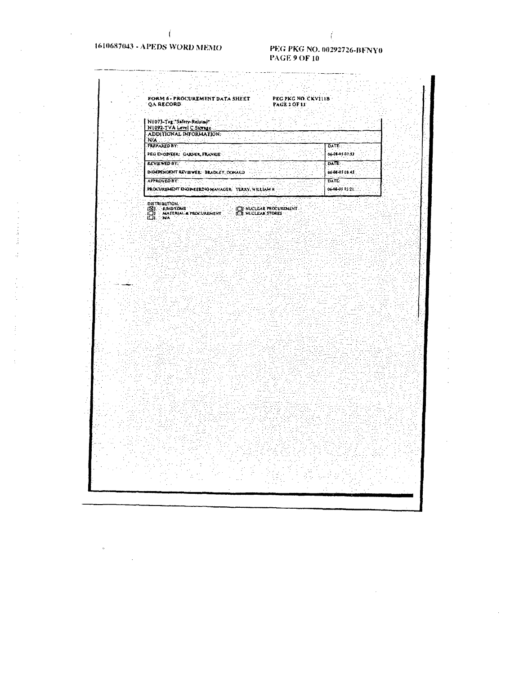# 1610687043 - APEDS WORD MEMO

 $\mathfrak{g}$ 

# PEG PKG NO. 00292726-BFNY0<br>PAGE 9 OF 10

无

| 42, 125<br>N1073-Tag "Safety-Related"<br>N1092-TVA Level C Storage<br>ADDITIONAL INFORMATION:<br>93<br>N/A color model brush<br><b>FREEARED BY:</b><br>$\overline{DATE}$<br>06-08-05-07:53<br>PEG ENOINEER: CARNER, FRANKIE<br><b>REVIEWED BY:</b><br>DATE:<br>INDEPENDENT REVIEWER: BRADLEY, DONALD<br>06:08:05:08:45<br>APPROVED BY<br><b>DATE</b><br>PROCUREMENT ENGINEERING MANAGER: TERRY, WILLIAM H<br>06-04-05-15-21.<br>MOMUSISTICS.<br><b>SI RINSTENIS<br/>IOI NATERIAL &amp; PROCURE</b><br><b>O NUCLEAR PROCUREMENT</b><br>MATERIAL & PROCUREMENT | FORM 6 - PROCUREMENT DATA SHEET | PEC PKG NO. CKV111B |  |
|--------------------------------------------------------------------------------------------------------------------------------------------------------------------------------------------------------------------------------------------------------------------------------------------------------------------------------------------------------------------------------------------------------------------------------------------------------------------------------------------------------------------------------------------------------------|---------------------------------|---------------------|--|
|                                                                                                                                                                                                                                                                                                                                                                                                                                                                                                                                                              | QA RECORD.                      | PAGE 2 OF 11        |  |
|                                                                                                                                                                                                                                                                                                                                                                                                                                                                                                                                                              |                                 |                     |  |
|                                                                                                                                                                                                                                                                                                                                                                                                                                                                                                                                                              |                                 |                     |  |
|                                                                                                                                                                                                                                                                                                                                                                                                                                                                                                                                                              |                                 |                     |  |
|                                                                                                                                                                                                                                                                                                                                                                                                                                                                                                                                                              |                                 |                     |  |
|                                                                                                                                                                                                                                                                                                                                                                                                                                                                                                                                                              |                                 |                     |  |
|                                                                                                                                                                                                                                                                                                                                                                                                                                                                                                                                                              |                                 |                     |  |
|                                                                                                                                                                                                                                                                                                                                                                                                                                                                                                                                                              |                                 |                     |  |
|                                                                                                                                                                                                                                                                                                                                                                                                                                                                                                                                                              |                                 |                     |  |
|                                                                                                                                                                                                                                                                                                                                                                                                                                                                                                                                                              |                                 |                     |  |
|                                                                                                                                                                                                                                                                                                                                                                                                                                                                                                                                                              |                                 |                     |  |
|                                                                                                                                                                                                                                                                                                                                                                                                                                                                                                                                                              |                                 |                     |  |
|                                                                                                                                                                                                                                                                                                                                                                                                                                                                                                                                                              |                                 |                     |  |
|                                                                                                                                                                                                                                                                                                                                                                                                                                                                                                                                                              |                                 |                     |  |
|                                                                                                                                                                                                                                                                                                                                                                                                                                                                                                                                                              |                                 |                     |  |
|                                                                                                                                                                                                                                                                                                                                                                                                                                                                                                                                                              |                                 |                     |  |
|                                                                                                                                                                                                                                                                                                                                                                                                                                                                                                                                                              |                                 |                     |  |
|                                                                                                                                                                                                                                                                                                                                                                                                                                                                                                                                                              |                                 |                     |  |
|                                                                                                                                                                                                                                                                                                                                                                                                                                                                                                                                                              |                                 |                     |  |
|                                                                                                                                                                                                                                                                                                                                                                                                                                                                                                                                                              |                                 |                     |  |
|                                                                                                                                                                                                                                                                                                                                                                                                                                                                                                                                                              |                                 |                     |  |
|                                                                                                                                                                                                                                                                                                                                                                                                                                                                                                                                                              |                                 |                     |  |
|                                                                                                                                                                                                                                                                                                                                                                                                                                                                                                                                                              |                                 |                     |  |
|                                                                                                                                                                                                                                                                                                                                                                                                                                                                                                                                                              |                                 |                     |  |
|                                                                                                                                                                                                                                                                                                                                                                                                                                                                                                                                                              |                                 |                     |  |
|                                                                                                                                                                                                                                                                                                                                                                                                                                                                                                                                                              |                                 |                     |  |
|                                                                                                                                                                                                                                                                                                                                                                                                                                                                                                                                                              |                                 |                     |  |
|                                                                                                                                                                                                                                                                                                                                                                                                                                                                                                                                                              |                                 |                     |  |
|                                                                                                                                                                                                                                                                                                                                                                                                                                                                                                                                                              |                                 |                     |  |
|                                                                                                                                                                                                                                                                                                                                                                                                                                                                                                                                                              |                                 |                     |  |
|                                                                                                                                                                                                                                                                                                                                                                                                                                                                                                                                                              |                                 |                     |  |
|                                                                                                                                                                                                                                                                                                                                                                                                                                                                                                                                                              |                                 |                     |  |
|                                                                                                                                                                                                                                                                                                                                                                                                                                                                                                                                                              |                                 |                     |  |
|                                                                                                                                                                                                                                                                                                                                                                                                                                                                                                                                                              |                                 |                     |  |
|                                                                                                                                                                                                                                                                                                                                                                                                                                                                                                                                                              |                                 |                     |  |
|                                                                                                                                                                                                                                                                                                                                                                                                                                                                                                                                                              |                                 |                     |  |
|                                                                                                                                                                                                                                                                                                                                                                                                                                                                                                                                                              |                                 |                     |  |
|                                                                                                                                                                                                                                                                                                                                                                                                                                                                                                                                                              |                                 |                     |  |
|                                                                                                                                                                                                                                                                                                                                                                                                                                                                                                                                                              |                                 |                     |  |
|                                                                                                                                                                                                                                                                                                                                                                                                                                                                                                                                                              |                                 |                     |  |
|                                                                                                                                                                                                                                                                                                                                                                                                                                                                                                                                                              |                                 |                     |  |
|                                                                                                                                                                                                                                                                                                                                                                                                                                                                                                                                                              |                                 |                     |  |
|                                                                                                                                                                                                                                                                                                                                                                                                                                                                                                                                                              |                                 |                     |  |
|                                                                                                                                                                                                                                                                                                                                                                                                                                                                                                                                                              |                                 |                     |  |
|                                                                                                                                                                                                                                                                                                                                                                                                                                                                                                                                                              |                                 |                     |  |